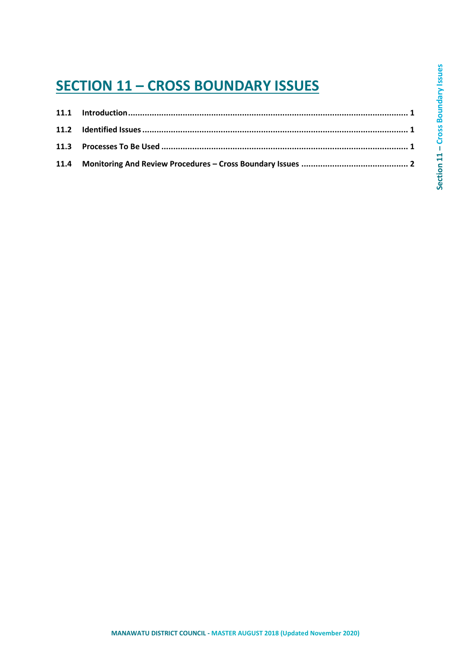## **SECTION 11 – CROSS BOUNDARY ISSUES**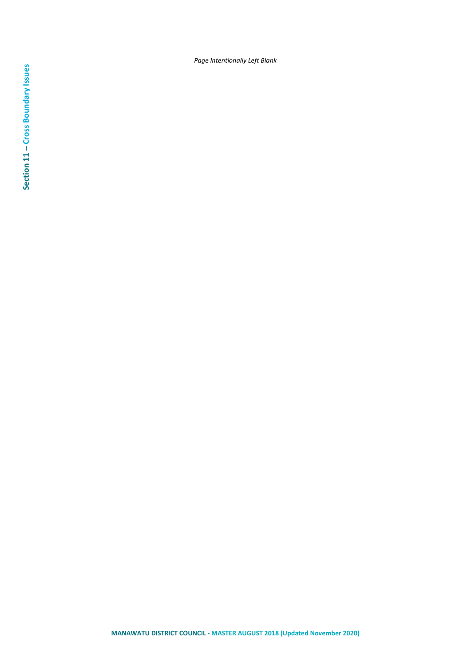*Page Intentionally Left Blank*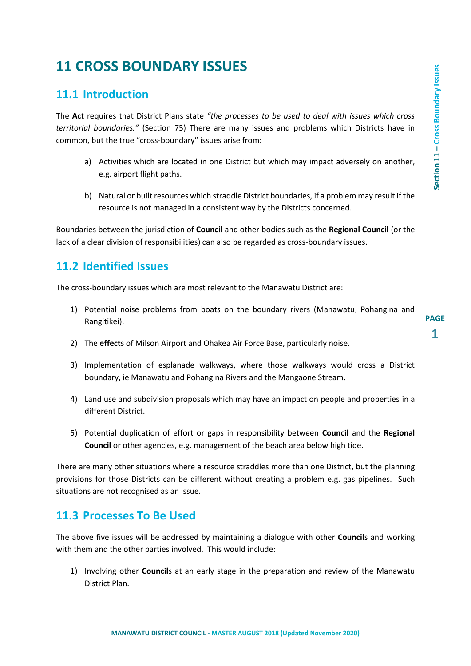# **11 CROSS BOUNDARY ISSUES**

### <span id="page-2-0"></span>**11.1 Introduction**

The **Act** requires that District Plans state *"the processes to be used to deal with issues which cross territorial boundaries."* (Section 75) There are many issues and problems which Districts have in common, but the true "cross-boundary" issues arise from:

- a) Activities which are located in one District but which may impact adversely on another, e.g. airport flight paths.
- b) Natural or built resources which straddle District boundaries, if a problem may result if the resource is not managed in a consistent way by the Districts concerned.

Boundaries between the jurisdiction of **Council** and other bodies such as the **Regional Council** (or the lack of a clear division of responsibilities) can also be regarded as cross-boundary issues.

### <span id="page-2-1"></span>**11.2 Identified Issues**

The cross-boundary issues which are most relevant to the Manawatu District are:

- 1) Potential noise problems from boats on the boundary rivers (Manawatu, Pohangina and Rangitikei).
- 2) The **effect**s of Milson Airport and Ohakea Air Force Base, particularly noise.
- 3) Implementation of esplanade walkways, where those walkways would cross a District boundary, ie Manawatu and Pohangina Rivers and the Mangaone Stream.
- 4) Land use and subdivision proposals which may have an impact on people and properties in a different District.
- 5) Potential duplication of effort or gaps in responsibility between **Council** and the **Regional Council** or other agencies, e.g. management of the beach area below high tide.

There are many other situations where a resource straddles more than one District, but the planning provisions for those Districts can be different without creating a problem e.g. gas pipelines. Such situations are not recognised as an issue.

### <span id="page-2-2"></span>**11.3 Processes To Be Used**

The above five issues will be addressed by maintaining a dialogue with other **Council**s and working with them and the other parties involved. This would include:

1) Involving other **Council**s at an early stage in the preparation and review of the Manawatu District Plan.

**MANAWATU DISTRICT COUNCIL - MASTER AUGUST 2018 (Updated November 2020)**

**PAGE 1**